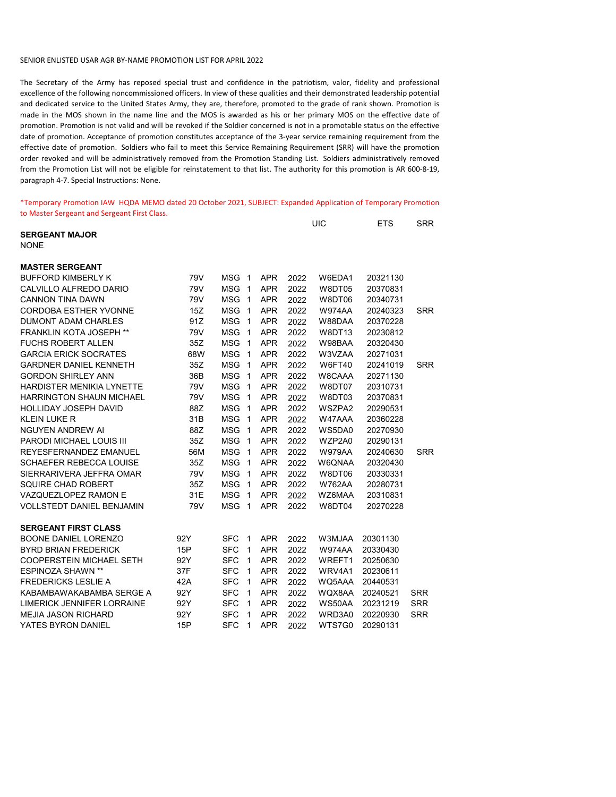## SENIOR ENLISTED USAR AGR BY-NAME PROMOTION LIST FOR APRIL 2022

The Secretary of the Army has reposed special trust and confidence in the patriotism, valor, fidelity and professional excellence of the following noncommissioned officers. In view of these qualities and their demonstrated leadership potential and dedicated service to the United States Army, they are, therefore, promoted to the grade of rank shown. Promotion is made in the MOS shown in the name line and the MOS is awarded as his or her primary MOS on the effective date of promotion. Promotion is not valid and will be revoked if the Soldier concerned is not in a promotable status on the effective date of promotion. Acceptance of promotion constitutes acceptance of the 3-year service remaining requirement from the effective date of promotion. Soldiers who fail to meet this Service Remaining Requirement (SRR) will have the promotion order revoked and will be administratively removed from the Promotion Standing List. Soldiers administratively removed from the Promotion List will not be eligible for reinstatement to that list. The authority for this promotion is AR 600-8-19, paragraph 4-7. Special Instructions: None.

\*Temporary Promotion IAW HQDA MEMO dated 20 October 2021, SUBJECT: Expanded Application of Temporary Promotion to Master Sergeant and Sergeant First Class.

|                                  |     |            |              |            |      | UIC           | <b>ETS</b> | <b>SRR</b> |
|----------------------------------|-----|------------|--------------|------------|------|---------------|------------|------------|
| <b>SERGEANT MAJOR</b>            |     |            |              |            |      |               |            |            |
| <b>NONE</b>                      |     |            |              |            |      |               |            |            |
|                                  |     |            |              |            |      |               |            |            |
| <b>MASTER SERGEANT</b>           |     |            |              |            |      |               |            |            |
| <b>BUFFORD KIMBERLY K</b>        | 79V | <b>MSG</b> | $\mathbf{1}$ | <b>APR</b> | 2022 | W6EDA1        | 20321130   |            |
| CALVILLO ALFREDO DARIO           | 79V | <b>MSG</b> | 1            | <b>APR</b> | 2022 | W8DT05        | 20370831   |            |
| <b>CANNON TINA DAWN</b>          | 79V | <b>MSG</b> | 1            | <b>APR</b> | 2022 | W8DT06        | 20340731   |            |
| <b>CORDOBA ESTHER YVONNE</b>     | 15Z | <b>MSG</b> | 1            | <b>APR</b> | 2022 | <b>W974AA</b> | 20240323   | <b>SRR</b> |
| <b>DUMONT ADAM CHARLES</b>       | 91Z | <b>MSG</b> | 1            | <b>APR</b> | 2022 | W88DAA        | 20370228   |            |
| <b>FRANKLIN KOTA JOSEPH **</b>   | 79V | <b>MSG</b> | 1            | <b>APR</b> | 2022 | <b>W8DT13</b> | 20230812   |            |
| <b>FUCHS ROBERT ALLEN</b>        | 35Z | <b>MSG</b> | 1            | <b>APR</b> | 2022 | W98BAA        | 20320430   |            |
| <b>GARCIA ERICK SOCRATES</b>     | 68W | <b>MSG</b> | 1            | <b>APR</b> | 2022 | W3VZAA        | 20271031   |            |
| <b>GARDNER DANIEL KENNETH</b>    | 35Z | <b>MSG</b> | 1            | <b>APR</b> | 2022 | W6FT40        | 20241019   | <b>SRR</b> |
| <b>GORDON SHIRLEY ANN</b>        | 36B | <b>MSG</b> | 1            | <b>APR</b> | 2022 | W8CAAA        | 20271130   |            |
| HARDISTER MENIKIA LYNETTE        | 79V | <b>MSG</b> | 1            | <b>APR</b> | 2022 | W8DT07        | 20310731   |            |
| <b>HARRINGTON SHAUN MICHAEL</b>  | 79V | <b>MSG</b> | 1            | <b>APR</b> | 2022 | W8DT03        | 20370831   |            |
| <b>HOLLIDAY JOSEPH DAVID</b>     | 88Z | <b>MSG</b> | 1            | <b>APR</b> | 2022 | WSZPA2        | 20290531   |            |
| <b>KLEIN LUKE R</b>              | 31B | <b>MSG</b> | 1            | <b>APR</b> | 2022 | W47AAA        | 20360228   |            |
| <b>NGUYEN ANDREW AI</b>          | 88Z | <b>MSG</b> | $\mathbf{1}$ | <b>APR</b> | 2022 | WS5DA0        | 20270930   |            |
| PARODI MICHAEL LOUIS III         | 35Z | <b>MSG</b> | $\mathbf{1}$ | <b>APR</b> | 2022 | WZP2A0        | 20290131   |            |
| REYESFERNANDEZ EMANUEL           | 56M | <b>MSG</b> | 1            | <b>APR</b> | 2022 | <b>W979AA</b> | 20240630   | <b>SRR</b> |
| <b>SCHAEFER REBECCA LOUISE</b>   | 35Z | <b>MSG</b> | 1            | <b>APR</b> | 2022 | W6QNAA        | 20320430   |            |
| SIERRARIVERA JEFFRA OMAR         | 79V | <b>MSG</b> | 1            | <b>APR</b> | 2022 | W8DT06        | 20330331   |            |
| <b>SQUIRE CHAD ROBERT</b>        | 35Z | <b>MSG</b> | 1            | <b>APR</b> | 2022 | <b>W762AA</b> | 20280731   |            |
| VAZQUEZLOPEZ RAMON E             | 31E | <b>MSG</b> | $\mathbf{1}$ | <b>APR</b> | 2022 | WZ6MAA        | 20310831   |            |
| <b>VOLLSTEDT DANIEL BENJAMIN</b> | 79V | <b>MSG</b> | $\mathbf{1}$ | <b>APR</b> | 2022 | W8DT04        | 20270228   |            |
| <b>SERGEANT FIRST CLASS</b>      |     |            |              |            |      |               |            |            |
| <b>BOONE DANIEL LORENZO</b>      | 92Y | <b>SFC</b> | $\mathbf{1}$ | <b>APR</b> | 2022 | W3MJAA        | 20301130   |            |
| <b>BYRD BRIAN FREDERICK</b>      | 15P | <b>SFC</b> | 1            | <b>APR</b> | 2022 | <b>W974AA</b> | 20330430   |            |
| <b>COOPERSTEIN MICHAEL SETH</b>  | 92Y | <b>SFC</b> | $\mathbf{1}$ | <b>APR</b> | 2022 | WREFT1        | 20250630   |            |
| <b>ESPINOZA SHAWN **</b>         | 37F | <b>SFC</b> | $\mathbf{1}$ | <b>APR</b> | 2022 | WRV4A1        | 20230611   |            |
| <b>FREDERICKS LESLIE A</b>       | 42A | <b>SFC</b> | 1            | <b>APR</b> | 2022 | WQ5AAA        | 20440531   |            |
| KABAMBAWAKABAMBA SERGE A         | 92Y | <b>SFC</b> | 1            | <b>APR</b> | 2022 | WQX8AA        | 20240521   | <b>SRR</b> |
| LIMERICK JENNIFER LORRAINE       | 92Y | <b>SFC</b> | 1            | <b>APR</b> | 2022 | WS50AA        | 20231219   | <b>SRR</b> |
| <b>MEJIA JASON RICHARD</b>       | 92Y | <b>SFC</b> | 1            | <b>APR</b> | 2022 | WRD3A0        | 20220930   | <b>SRR</b> |
| YATES BYRON DANIEL               | 15P | <b>SFC</b> | 1            | <b>APR</b> | 2022 | WTS7G0        | 20290131   |            |
|                                  |     |            |              |            |      |               |            |            |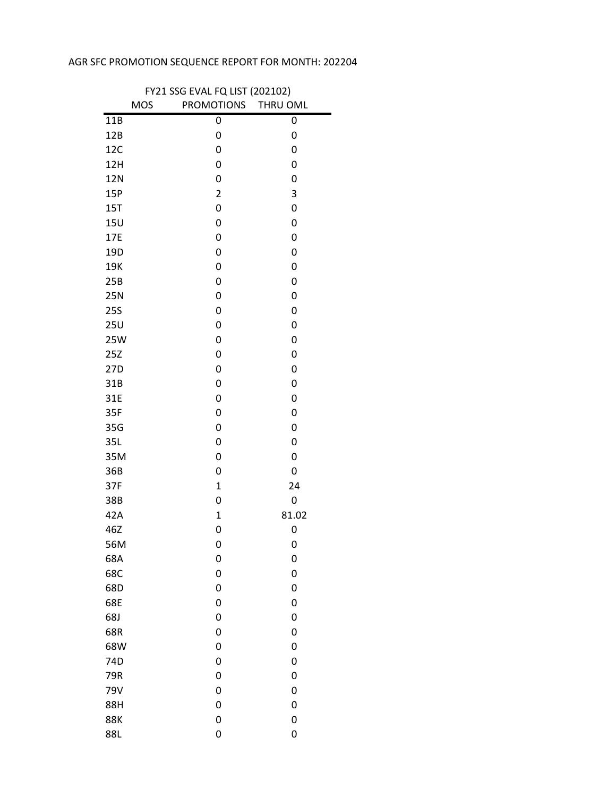## AGR SFC PROMOTION SEQUENCE REPORT FOR MONTH: 202204

| FY21 SSG EVAL FQ LIST (202102) |                     |       |  |
|--------------------------------|---------------------|-------|--|
| <b>MOS</b>                     | PROMOTIONS THRU OML |       |  |
| 11B                            | 0                   | 0     |  |
| 12B                            | 0                   | 0     |  |
| 12C                            | 0                   | 0     |  |
| 12H                            | 0                   | 0     |  |
| 12N                            | 0                   | 0     |  |
| 15P                            | $\overline{2}$      | 3     |  |
| 15T                            | 0                   | 0     |  |
| <b>15U</b>                     | 0                   | 0     |  |
| 17E                            | 0                   | 0     |  |
| 19D                            | 0                   | 0     |  |
| 19K                            | 0                   | 0     |  |
| 25B                            | 0                   | 0     |  |
| 25N                            | 0                   | 0     |  |
| <b>25S</b>                     | 0                   | 0     |  |
| 25U                            | 0                   | 0     |  |
| 25W                            | 0                   | 0     |  |
| 25Z                            | 0                   | 0     |  |
| 27D                            | 0                   | 0     |  |
| 31B                            | 0                   | 0     |  |
| 31E                            | 0                   | 0     |  |
| 35F                            | 0                   | 0     |  |
| 35G                            | 0                   | 0     |  |
| 35L                            | 0                   | 0     |  |
| 35M                            | 0                   | 0     |  |
| 36B                            | 0                   | 0     |  |
| 37F                            | $\mathbf{1}$        | 24    |  |
| 38B                            | 0                   | 0     |  |
| 42A                            | $\mathbf{1}$        | 81.02 |  |
| 46Z                            | 0                   | 0     |  |
| 56M                            | 0                   | 0     |  |
| 68A                            | 0                   | 0     |  |
| 68C                            | 0                   | 0     |  |
| 68D                            | 0                   | 0     |  |
| 68E                            | 0                   | 0     |  |
| 68J                            | 0                   | 0     |  |
| 68R                            | 0                   | 0     |  |
| 68W                            | 0                   | 0     |  |
| 74D                            | 0                   | 0     |  |
| 79R                            | 0                   | 0     |  |
| 79V                            | 0                   | 0     |  |
| 88H                            | 0                   | 0     |  |
| <b>88K</b>                     | 0                   | 0     |  |
| 88L                            | 0                   | 0     |  |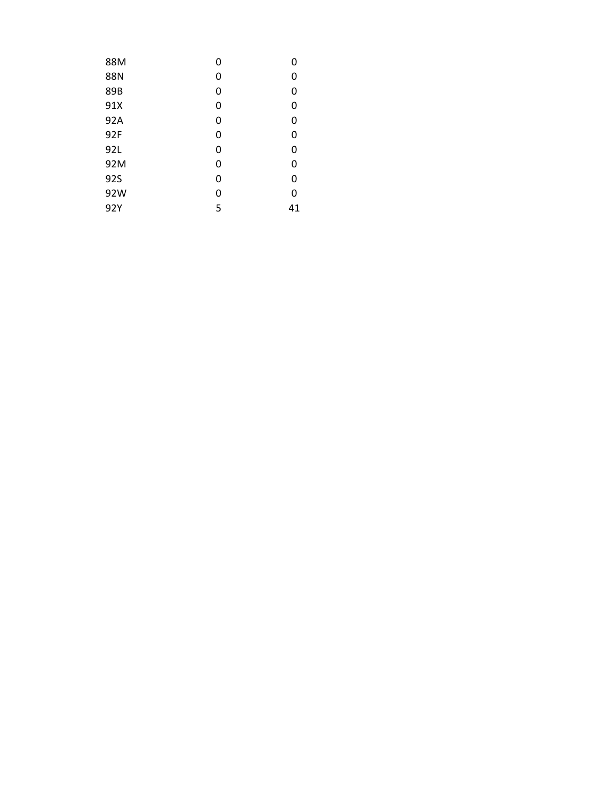| 88M        | 0 | 0  |
|------------|---|----|
| 88N        | 0 | 0  |
| 89B        | 0 | 0  |
| 91X        | 0 | 0  |
| 92A        | 0 | 0  |
| 92F        | 0 | 0  |
| 92L        | 0 | 0  |
| 92M        | 0 | 0  |
| <b>92S</b> | 0 | 0  |
| 92W        | 0 | 0  |
| 92Y        | 5 | 41 |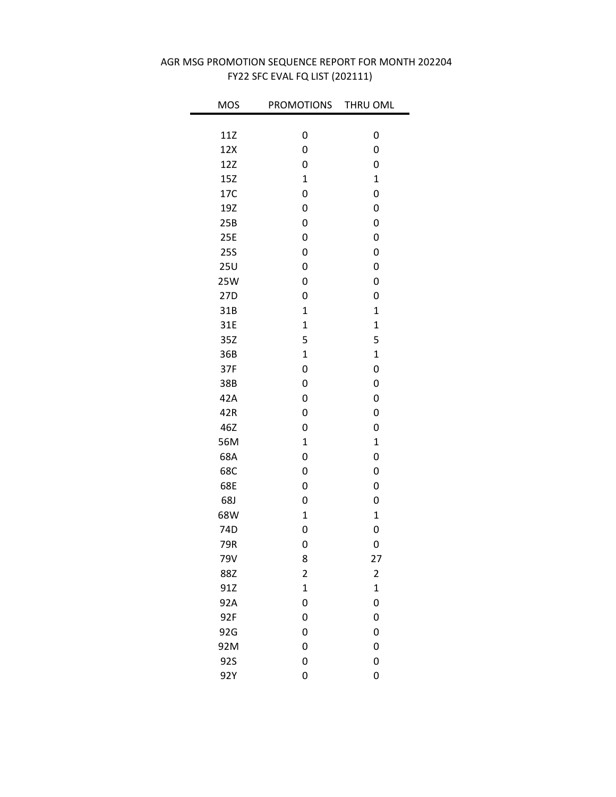| <b>MOS</b> | <b>PROMOTIONS</b> | THRU OML       |
|------------|-------------------|----------------|
|            |                   |                |
| 11Z        | 0                 | 0              |
| 12X        | 0                 | 0              |
| 12Z        | 0                 | 0              |
| 15Z        | $\overline{1}$    | $\mathbf 1$    |
| 17C        | 0                 | 0              |
| 19Z        | 0                 | 0              |
| 25B        | 0                 | 0              |
| 25E        | 0                 | 0              |
| <b>25S</b> | 0                 | 0              |
| 25U        | 0                 | 0              |
| 25W        | 0                 | 0              |
| 27D        | 0                 | 0              |
| 31B        | $\overline{1}$    | $\mathbf{1}$   |
| 31E        | $\overline{1}$    | $\overline{1}$ |
| 35Z        | 5                 | 5              |
| 36B        | $\overline{1}$    | $\overline{1}$ |
| 37F        | 0                 | 0              |
| 38B        | 0                 | 0              |
| 42A        | 0                 | 0              |
| 42R        | 0                 | 0              |
| 46Z        | 0                 | 0              |
| 56M        | $\mathbf 1$       | $\mathbf 1$    |
| 68A        | 0                 | 0              |
| 68C        | 0                 | 0              |
| 68E        | 0                 | 0              |
| 68J        | 0                 | 0              |
| 68W        | $\mathbf{1}$      | $\mathbf 1$    |
| 74D        | 0                 | 0              |
| 79R        | 0                 | 0              |
| 79V        | 8                 | 27             |
| 88Z        | 2                 | 2              |
| 91Z        | $\mathbf{1}$      | $\mathbf 1$    |
| 92A        | 0                 | 0              |
| 92F        | 0                 | 0              |
| 92G        | 0                 | 0              |
| 92M        | 0                 | 0              |
| 92S        | 0                 | 0              |
| 92Y        | 0                 | 0              |

## FY22 SFC EVAL FQ LIST (202111) AGR MSG PROMOTION SEQUENCE REPORT FOR MONTH 202204